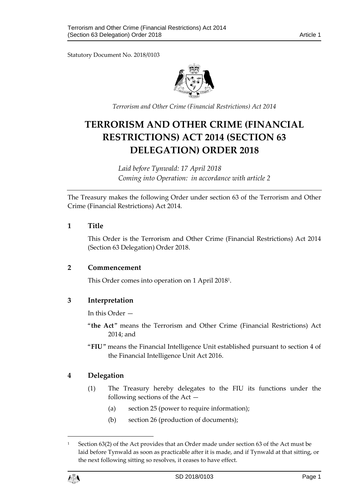Statutory Document No. 2018/0103



*Terrorism and Other Crime (Financial Restrictions) Act 2014*

# **TERRORISM AND OTHER CRIME (FINANCIAL RESTRICTIONS) ACT 2014 (SECTION 63 DELEGATION) ORDER 2018**

*Laid before Tynwald: 17 April 2018 Coming into Operation: in accordance with article 2*

The Treasury makes the following Order under section 63 of the Terrorism and Other Crime (Financial Restrictions) Act 2014.

## **1 Title**

This Order is the Terrorism and Other Crime (Financial Restrictions) Act 2014 (Section 63 Delegation) Order 2018.

#### **2 Commencement**

This Order comes into operation on 1 April 2018<sup>1</sup> .

## **3 Interpretation**

In this Order —

- "**the Act**" means the Terrorism and Other Crime (Financial Restrictions) Act 2014; and
- "**FIU**" means the Financial Intelligence Unit established pursuant to section 4 of the Financial Intelligence Unit Act 2016.

## **4 Delegation**

- (1) The Treasury hereby delegates to the FIU its functions under the following sections of the Act —
	- (a) section 25 (power to require information);
	- (b) section 26 (production of documents);

<sup>&</sup>lt;sup>1</sup> Section 63(2) of the Act provides that an Order made under section 63 of the Act must be laid before Tynwald as soon as practicable after it is made, and if Tynwald at that sitting, or the next following sitting so resolves, it ceases to have effect.



1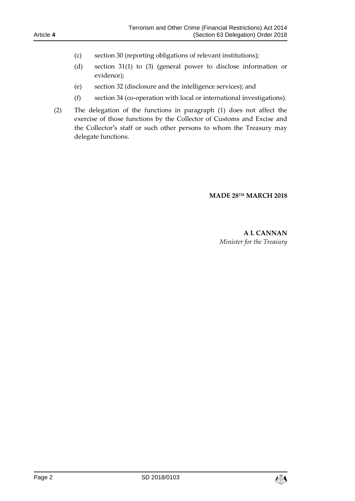- (c) section 30 (reporting obligations of relevant institutions);
- (d) section 31(1) to (3) (general power to disclose information or evidence);
- (e) section 32 (disclosure and the intelligence services); and
- (f) section 34 (co-operation with local or international investigations).
- (2) The delegation of the functions in paragraph (1) does not affect the exercise of those functions by the Collector of Customs and Excise and the Collector's staff or such other persons to whom the Treasury may delegate functions.

#### **MADE 28TH MARCH 2018**

## **A L CANNAN** *Minister for the Treasury*